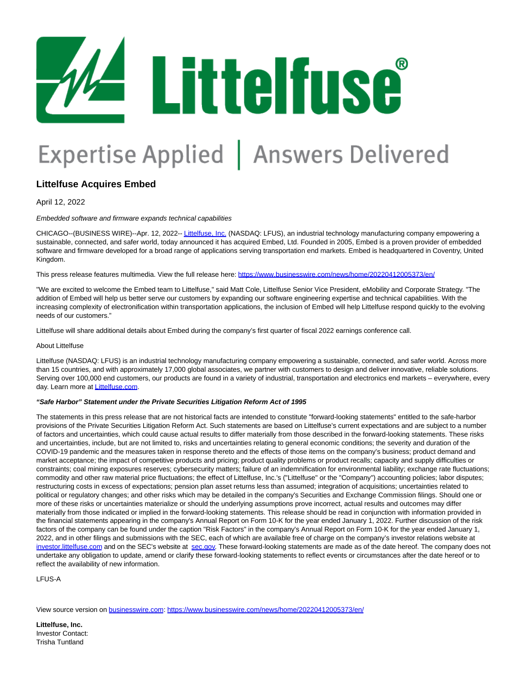# 4 Littelfuse

## Expertise Applied | Answers Delivered

### **Littelfuse Acquires Embed**

April 12, 2022

#### Embedded software and firmware expands technical capabilities

CHICAGO--(BUSINESS WIRE)--Apr. 12, 2022-[- Littelfuse, Inc. \(](https://cts.businesswire.com/ct/CT?id=smartlink&url=http%3A%2F%2Fwww.littelfuse.com&esheet=52683220&newsitemid=20220412005373&lan=en-US&anchor=Littelfuse%2C+Inc.&index=1&md5=0a276da47d8e0fbcafa16a8dc9c25864)NASDAQ: LFUS), an industrial technology manufacturing company empowering a sustainable, connected, and safer world, today announced it has acquired Embed, Ltd. Founded in 2005, Embed is a proven provider of embedded software and firmware developed for a broad range of applications serving transportation end markets. Embed is headquartered in Coventry, United Kingdom.

This press release features multimedia. View the full release here:<https://www.businesswire.com/news/home/20220412005373/en/>

"We are excited to welcome the Embed team to Littelfuse," said Matt Cole, Littelfuse Senior Vice President, eMobility and Corporate Strategy. "The addition of Embed will help us better serve our customers by expanding our software engineering expertise and technical capabilities. With the increasing complexity of electronification within transportation applications, the inclusion of Embed will help Littelfuse respond quickly to the evolving needs of our customers."

Littelfuse will share additional details about Embed during the company's first quarter of fiscal 2022 earnings conference call.

#### About Littelfuse

Littelfuse (NASDAQ: LFUS) is an industrial technology manufacturing company empowering a sustainable, connected, and safer world. Across more than 15 countries, and with approximately 17,000 global associates, we partner with customers to design and deliver innovative, reliable solutions. Serving over 100,000 end customers, our products are found in a variety of industrial, transportation and electronics end markets – everywhere, every day. Learn more at **Littelfuse.com**.

#### **"Safe Harbor" Statement under the Private Securities Litigation Reform Act of 1995**

The statements in this press release that are not historical facts are intended to constitute "forward-looking statements" entitled to the safe-harbor provisions of the Private Securities Litigation Reform Act. Such statements are based on Littelfuse's current expectations and are subject to a number of factors and uncertainties, which could cause actual results to differ materially from those described in the forward-looking statements. These risks and uncertainties, include, but are not limited to, risks and uncertainties relating to general economic conditions; the severity and duration of the COVID-19 pandemic and the measures taken in response thereto and the effects of those items on the company's business; product demand and market acceptance; the impact of competitive products and pricing; product quality problems or product recalls; capacity and supply difficulties or constraints; coal mining exposures reserves; cybersecurity matters; failure of an indemnification for environmental liability; exchange rate fluctuations; commodity and other raw material price fluctuations; the effect of Littelfuse, Inc.'s ("Littelfuse" or the "Company") accounting policies; labor disputes; restructuring costs in excess of expectations; pension plan asset returns less than assumed; integration of acquisitions; uncertainties related to political or regulatory changes; and other risks which may be detailed in the company's Securities and Exchange Commission filings. Should one or more of these risks or uncertainties materialize or should the underlying assumptions prove incorrect, actual results and outcomes may differ materially from those indicated or implied in the forward-looking statements. This release should be read in conjunction with information provided in the financial statements appearing in the company's Annual Report on Form 10-K for the year ended January 1, 2022. Further discussion of the risk factors of the company can be found under the caption "Risk Factors" in the company's Annual Report on Form 10-K for the year ended January 1, 2022, and in other filings and submissions with the SEC, each of which are available free of charge on the company's investor relations website at [investor.littelfuse.com a](https://cts.businesswire.com/ct/CT?id=smartlink&url=https%3A%2F%2Finvestor.littelfuse.com%2Ffinancial-information%2Fsec-filings&esheet=52683220&newsitemid=20220412005373&lan=en-US&anchor=investor.littelfuse.com&index=3&md5=eb1786ca9f65bb7b83b8deb5afe49074)nd on the SEC's website at [sec.gov.](https://cts.businesswire.com/ct/CT?id=smartlink&url=http%3A%2F%2Fwww.sec.gov%2F&esheet=52683220&newsitemid=20220412005373&lan=en-US&anchor=sec.gov&index=4&md5=a5a1eeb2e9b7c4c152b47908a9145b15) These forward-looking statements are made as of the date hereof. The company does not undertake any obligation to update, amend or clarify these forward-looking statements to reflect events or circumstances after the date hereof or to reflect the availability of new information.

LFUS-A

View source version on [businesswire.com:](http://businesswire.com/)<https://www.businesswire.com/news/home/20220412005373/en/>

**Littelfuse, Inc.** Investor Contact: Trisha Tuntland